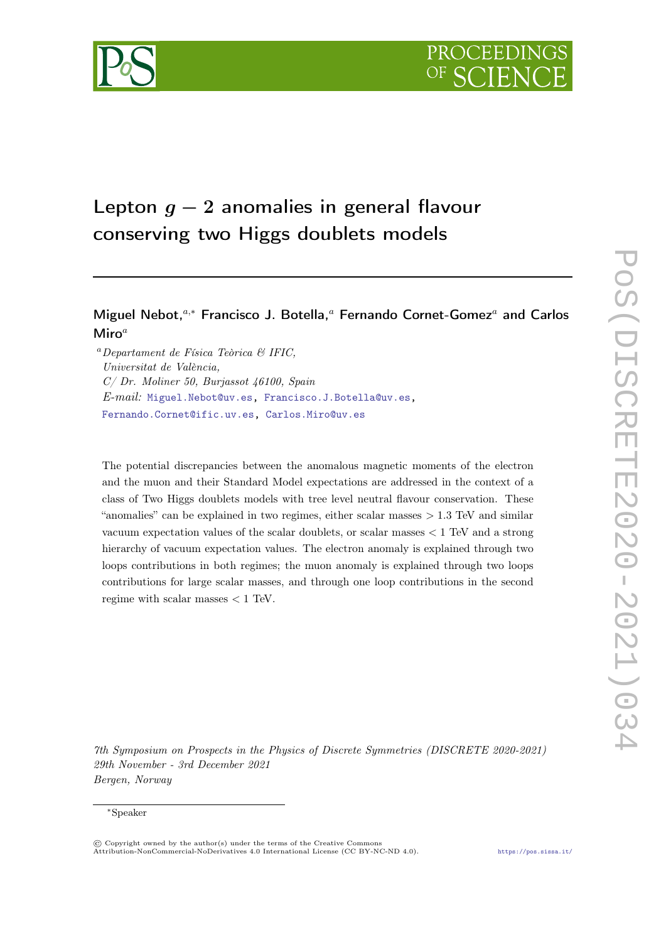

# Lepton  $q - 2$  anomalies in general flavour conserving two Higgs doublets models

# Miguel Nebot,<sup>a,\*</sup> Francisco J. Botella,<sup>a</sup> Fernando Cornet-Gomez<sup>a</sup> and Carlos Miro $^a$

 $a$ Departament de Física Teòrica  $\mathcal B$  IFIC, Universitat de València, C/ Dr. Moliner 50, Burjassot 46100, Spain E-mail: [Miguel.Nebot@uv.es,](mailto:Miguel.Nebot@uv.es) [Francisco.J.Botella@uv.es,](mailto:Francisco.J.Botella@uv.es) [Fernando.Cornet@ific.uv.es,](mailto:Fernando.Cornet@ific.uv.es) [Carlos.Miro@uv.es](mailto:Carlos.Miro@uv.es)

The potential discrepancies between the anomalous magnetic moments of the electron and the muon and their Standard Model expectations are addressed in the context of a class of Two Higgs doublets models with tree level neutral flavour conservation. These "anomalies" can be explained in two regimes, either scalar masses > 1.3 TeV and similar vacuum expectation values of the scalar doublets, or scalar masses < 1 TeV and a strong hierarchy of vacuum expectation values. The electron anomaly is explained through two loops contributions in both regimes; the muon anomaly is explained through two loops contributions for large scalar masses, and through one loop contributions in the second regime with scalar masses  $< 1$  TeV.

7th Symposium on Prospects in the Physics of Discrete Symmetries (DISCRETE 2020-2021) 29th November - 3rd December 2021 Bergen, Norway

<sup>∗</sup>Speaker

<sup>©</sup> Copyright owned by the author(s) under the terms of the Creative Commons Attribution-NonCommercial-NoDerivatives 4.0 International License (CC BY-NC-ND 4.0). <https://pos.sissa.it/>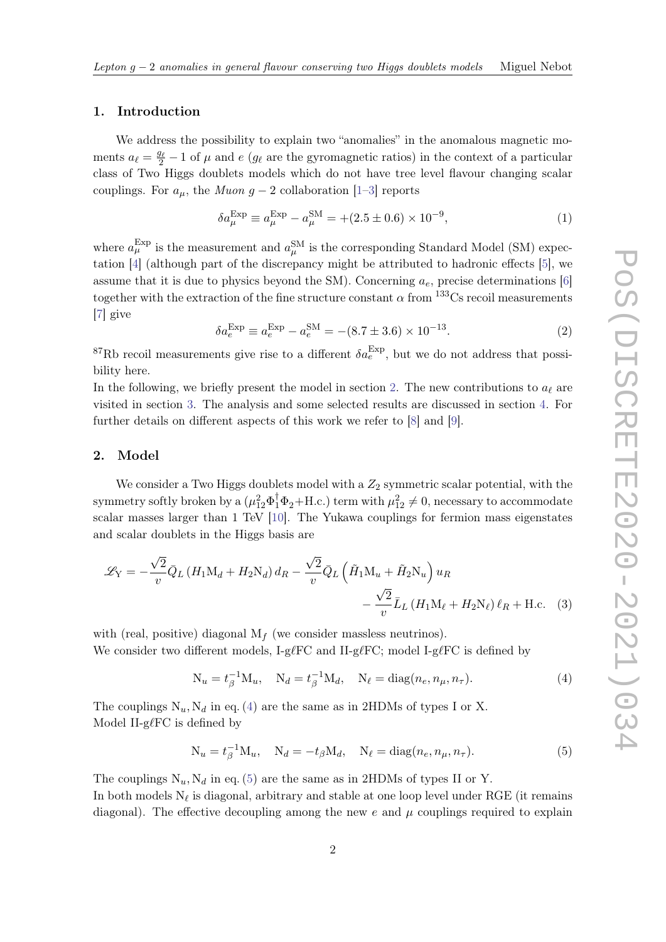#### 1. Introduction

We address the possibility to explain two "anomalies" in the anomalous magnetic moments  $a_{\ell} = \frac{g_{\ell}}{2} - 1$  of  $\mu$  and  $e \ (g_{\ell})$  are the gyromagnetic ratios) in the context of a particular class of Two Higgs doublets models which do not have tree level flavour changing scalar couplings. For  $a_{\mu}$ , the *Muon g* – 2 collaboration [\[1–](#page-5-0)[3\]](#page-5-1) reports

$$
\delta a_{\mu}^{\text{Exp}} \equiv a_{\mu}^{\text{Exp}} - a_{\mu}^{\text{SM}} = +(2.5 \pm 0.6) \times 10^{-9}, \tag{1}
$$

where  $a_{\mu}^{\text{Exp}}$  is the measurement and  $a_{\mu}^{\text{SM}}$  is the corresponding Standard Model (SM) expectation [\[4\]](#page-5-2) (although part of the discrepancy might be attributed to hadronic effects [\[5\]](#page-5-3), we assume that it is due to physics beyond the SM). Concerning  $a_e$ , precise determinations [\[6\]](#page-5-4) together with the extraction of the fine structure constant  $\alpha$  from  $^{133}$ Cs recoil measurements [\[7\]](#page-5-5) give

$$
\delta a_e^{\text{Exp}} \equiv a_e^{\text{Exp}} - a_e^{\text{SM}} = -(8.7 \pm 3.6) \times 10^{-13}.
$$
 (2)

<sup>87</sup>Rb recoil measurements give rise to a different  $\delta a_e^{\text{Exp}}$ , but we do not address that possibility here.

In the following, we briefly present the model in section [2.](#page-1-0) The new contributions to  $a_{\ell}$  are visited in section [3.](#page-2-0) The analysis and some selected results are discussed in section [4.](#page-3-0) For further details on different aspects of this work we refer to [\[8\]](#page-5-6) and [\[9\]](#page-5-7).

#### <span id="page-1-0"></span>2. Model

We consider a Two Higgs doublets model with a  $Z_2$  symmetric scalar potential, with the symmetry softly broken by a  $(\mu_{12}^2 \Phi_1^{\dagger} \Phi_2 + \text{H.c.})$  term with  $\mu_{12}^2 \neq 0$ , necessary to accommodate scalar masses larger than 1 TeV [\[10\]](#page-5-8). The Yukawa couplings for fermion mass eigenstates and scalar doublets in the Higgs basis are

$$
\mathcal{L}_Y = -\frac{\sqrt{2}}{v} \bar{Q}_L \left( H_1 \mathbf{M}_d + H_2 \mathbf{N}_d \right) d_R - \frac{\sqrt{2}}{v} \bar{Q}_L \left( \tilde{H}_1 \mathbf{M}_u + \tilde{H}_2 \mathbf{N}_u \right) u_R - \frac{\sqrt{2}}{v} \bar{L}_L \left( H_1 \mathbf{M}_\ell + H_2 \mathbf{N}_\ell \right) \ell_R + \text{H.c.} \quad (3)
$$

with (real, positive) diagonal  $M_f$  (we consider massless neutrinos). We consider two different models,  $I-g\ell F\epsilon$  and  $II-g\ell F\epsilon$ ; model  $I-g\ell F\epsilon$  is defined by

<span id="page-1-1"></span>
$$
N_u = t_\beta^{-1} M_u, \quad N_d = t_\beta^{-1} M_d, \quad N_\ell = \text{diag}(n_e, n_\mu, n_\tau). \tag{4}
$$

The couplings  $N_u$ ,  $N_d$  in eq. [\(4\)](#page-1-1) are the same as in 2HDMs of types I or X. Model II-g $\ell$ FC is defined by

<span id="page-1-2"></span>
$$
N_u = t_\beta^{-1} M_u, \quad N_d = -t_\beta M_d, \quad N_\ell = \text{diag}(n_e, n_\mu, n_\tau). \tag{5}
$$

The couplings  $N_u$ ,  $N_d$  in eq. [\(5\)](#page-1-2) are the same as in 2HDMs of types II or Y. In both models  $N_\ell$  is diagonal, arbitrary and stable at one loop level under RGE (it remains diagonal). The effective decoupling among the new  $e$  and  $\mu$  couplings required to explain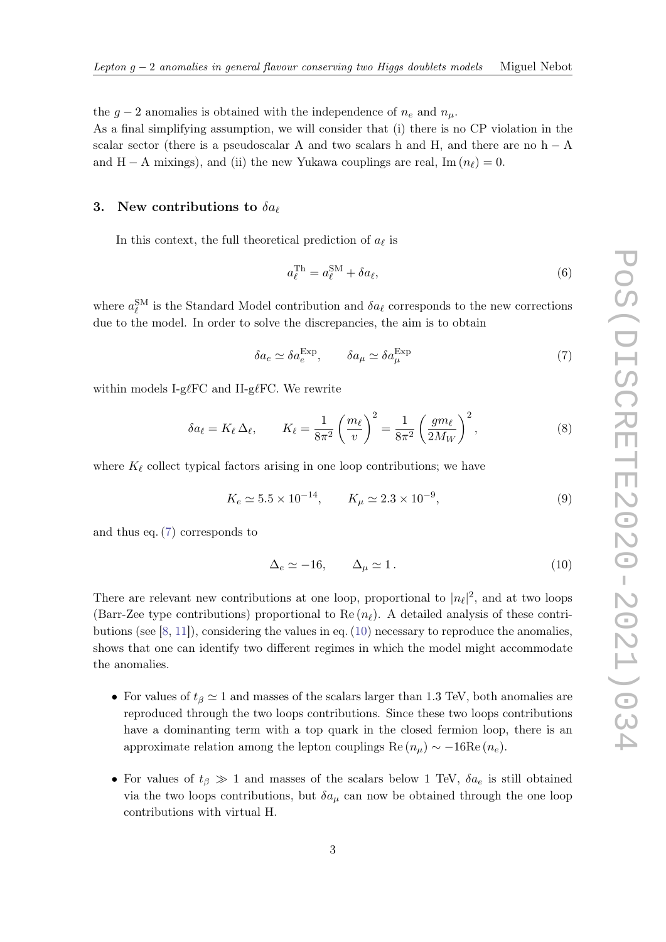the  $g-2$  anomalies is obtained with the independence of  $n_e$  and  $n_\mu$ .

As a final simplifying assumption, we will consider that (i) there is no CP violation in the scalar sector (there is a pseudoscalar A and two scalars h and H, and there are no h  $-$  A and H − A mixings), and (ii) the new Yukawa couplings are real, Im  $(n_\ell) = 0$ .

#### <span id="page-2-0"></span>3. New contributions to  $\delta a_{\ell}$

In this context, the full theoretical prediction of  $a_{\ell}$  is

$$
a_{\ell}^{\text{Th}} = a_{\ell}^{\text{SM}} + \delta a_{\ell},\tag{6}
$$

where  $a_{\ell}^{\text{SM}}$  is the Standard Model contribution and  $\delta a_{\ell}$  corresponds to the new corrections due to the model. In order to solve the discrepancies, the aim is to obtain

<span id="page-2-1"></span>
$$
\delta a_e \simeq \delta a_e^{\text{Exp}}, \qquad \delta a_\mu \simeq \delta a_\mu^{\text{Exp}} \tag{7}
$$

within models I-g $\ell$ FC and II-g $\ell$ FC. We rewrite

$$
\delta a_{\ell} = K_{\ell} \Delta_{\ell}, \qquad K_{\ell} = \frac{1}{8\pi^2} \left(\frac{m_{\ell}}{v}\right)^2 = \frac{1}{8\pi^2} \left(\frac{gm_{\ell}}{2M_W}\right)^2, \tag{8}
$$

where  $K_\ell$  collect typical factors arising in one loop contributions; we have

$$
K_e \simeq 5.5 \times 10^{-14}, \qquad K_\mu \simeq 2.3 \times 10^{-9}, \tag{9}
$$

and thus eq. [\(7\)](#page-2-1) corresponds to

<span id="page-2-2"></span>
$$
\Delta_e \simeq -16, \qquad \Delta_\mu \simeq 1. \tag{10}
$$

There are relevant new contributions at one loop, proportional to  $|n_\ell|^2$ , and at two loops (Barr-Zee type contributions) proportional to Re  $(n_\ell)$ . A detailed analysis of these contributions (see [\[8,](#page-5-6) [11\]](#page-5-9)), considering the values in eq. [\(10\)](#page-2-2) necessary to reproduce the anomalies, shows that one can identify two different regimes in which the model might accommodate the anomalies.

- For values of  $t_\beta \simeq 1$  and masses of the scalars larger than 1.3 TeV, both anomalies are reproduced through the two loops contributions. Since these two loops contributions have a dominanting term with a top quark in the closed fermion loop, there is an approximate relation among the lepton couplings Re  $(n_{\mu}) \sim -16\text{Re}(n_e)$ .
- For values of  $t_\beta \gg 1$  and masses of the scalars below 1 TeV,  $\delta a_e$  is still obtained via the two loops contributions, but  $\delta a_\mu$  can now be obtained through the one loop contributions with virtual H.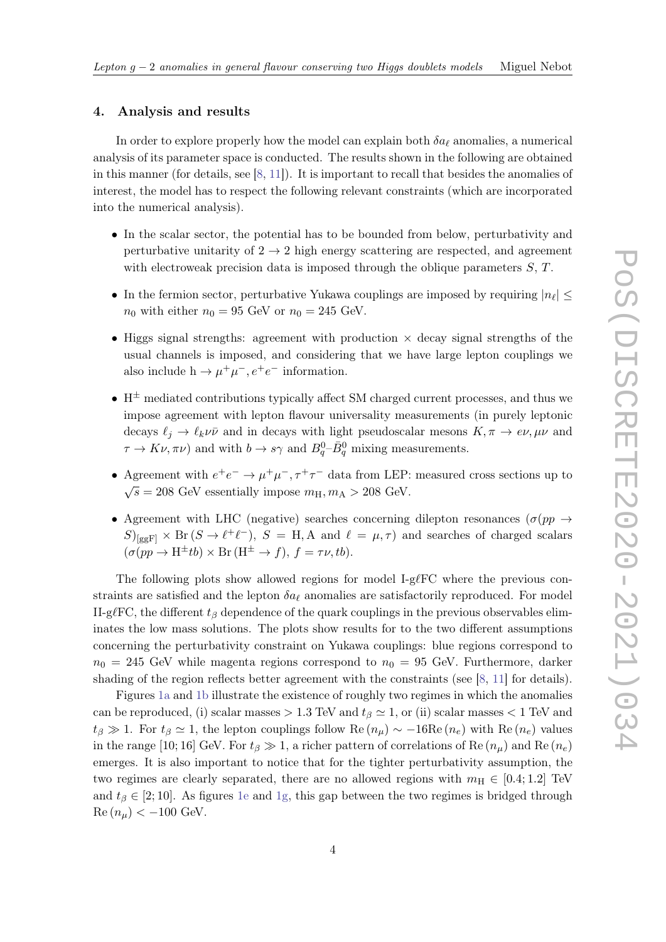#### <span id="page-3-0"></span>4. Analysis and results

In order to explore properly how the model can explain both  $\delta a_\ell$  anomalies, a numerical analysis of its parameter space is conducted. The results shown in the following are obtained in this manner (for details, see [\[8,](#page-5-6) [11\]](#page-5-9)). It is important to recall that besides the anomalies of interest, the model has to respect the following relevant constraints (which are incorporated into the numerical analysis).

- In the scalar sector, the potential has to be bounded from below, perturbativity and perturbative unitarity of  $2 \rightarrow 2$  high energy scattering are respected, and agreement with electroweak precision data is imposed through the oblique parameters  $S, T$ .
- In the fermion sector, perturbative Yukawa couplings are imposed by requiring  $|n_\ell| \leq$  $n_0$  with either  $n_0 = 95$  GeV or  $n_0 = 245$  GeV.
- Higgs signal strengths: agreement with production  $\times$  decay signal strengths of the usual channels is imposed, and considering that we have large lepton couplings we also include  $h \to \mu^+ \mu^-, e^+ e^-$  information.
- $H^{\pm}$  mediated contributions typically affect SM charged current processes, and thus we impose agreement with lepton flavour universality measurements (in purely leptonic decays  $\ell_j \to \ell_k \nu \bar{\nu}$  and in decays with light pseudoscalar mesons  $K, \pi \to e \nu, \mu \nu$  and  $\tau \to K\nu, \pi\nu$ ) and with  $b \to s\gamma$  and  $B_q^0$ - $\bar{B}_q^0$  mixing measurements.
- Agreement with  $e^+e^- \to \mu^+\mu^-, \tau^+\tau^-$  data from LEP: measured cross sections up to  $\sqrt{s} = 208$  GeV essentially impose  $m_H, m_A > 208$  GeV.
- Agreement with LHC (negative) searches concerning dilepton resonances ( $\sigma(pp \to$  $S$ <sub>[ggF]</sub>  $\times$  Br( $S \to \ell^+ \ell^-$ ),  $S = H, A$  and  $\ell = \mu, \tau$ ) and searches of charged scalars  $(\sigma(pp \to H^{\pm}tb) \times \text{Br}(H^{\pm} \to f), f = \tau \nu, tb).$

The following plots show allowed regions for model I-g $\ell$ FC where the previous constraints are satisfied and the lepton  $\delta a_\ell$  anomalies are satisfactorily reproduced. For model II-g $\ell$ FC, the different  $t_\beta$  dependence of the quark couplings in the previous observables eliminates the low mass solutions. The plots show results for to the two different assumptions concerning the perturbativity constraint on Yukawa couplings: blue regions correspond to  $n_0 = 245$  GeV while magenta regions correspond to  $n_0 = 95$  GeV. Furthermore, darker shading of the region reflects better agreement with the constraints (see [\[8,](#page-5-6) [11\]](#page-5-9) for details).

Figures [1a](#page-4-0) and [1b](#page-4-1) illustrate the existence of roughly two regimes in which the anomalies can be reproduced, (i) scalar masses  $> 1.3$  TeV and  $t_\beta \simeq 1$ , or (ii) scalar masses  $< 1$  TeV and  $t_\beta \gg 1$ . For  $t_\beta \simeq 1$ , the lepton couplings follow Re  $(n_\mu) \sim -16\text{Re}(n_e)$  with Re  $(n_e)$  values in the range [10; 16] GeV. For  $t_\beta \gg 1$ , a richer pattern of correlations of Re  $(n_\mu)$  and Re  $(n_e)$ emerges. It is also important to notice that for the tighter perturbativity assumption, the two regimes are clearly separated, there are no allowed regions with  $m<sub>H</sub> \in [0.4; 1.2]$  TeV and  $t<sub>\beta</sub> \in [2, 10]$ . As figures [1e](#page-4-2) and [1g,](#page-4-3) this gap between the two regimes is bridged through  $\text{Re}(n_{\mu}) < -100 \text{ GeV}.$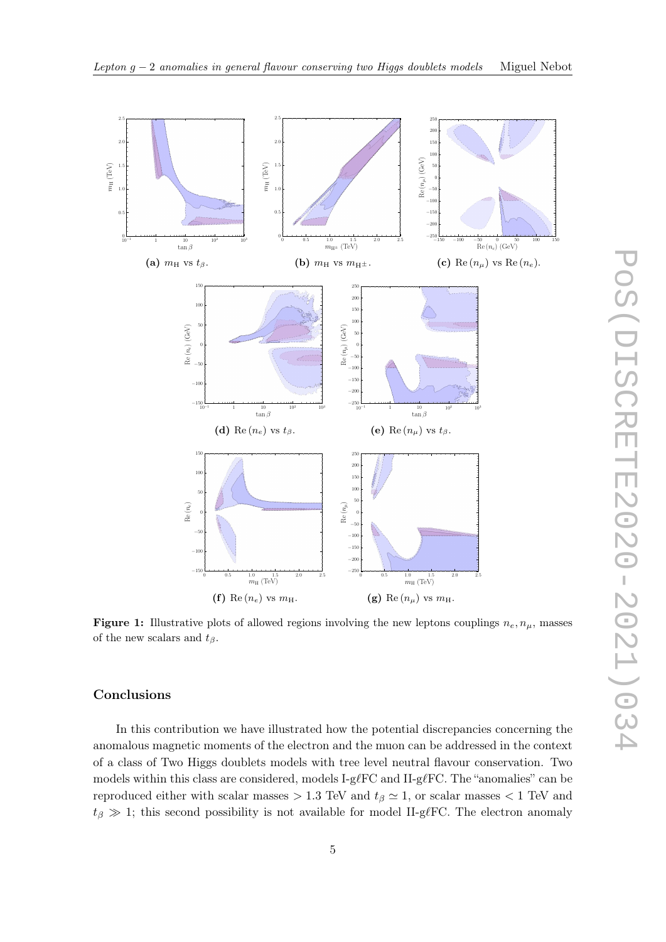

<span id="page-4-1"></span><span id="page-4-0"></span>

<span id="page-4-3"></span><span id="page-4-2"></span>**Figure 1:** Illustrative plots of allowed regions involving the new leptons couplings  $n_e, n_\mu$ , masses of the new scalars and  $t_\beta$ .

## Conclusions

In this contribution we have illustrated how the potential discrepancies concerning the anomalous magnetic moments of the electron and the muon can be addressed in the context of a class of Two Higgs doublets models with tree level neutral flavour conservation. Two models within this class are considered, models I-g $\ell$ FC and II-g $\ell$ FC. The "anomalies" can be reproduced either with scalar masses  $> 1.3$  TeV and  $t<sub>\beta</sub> \approx 1$ , or scalar masses  $< 1$  TeV and  $t_\beta \gg 1$ ; this second possibility is not available for model II-g $\ell$ FC. The electron anomaly